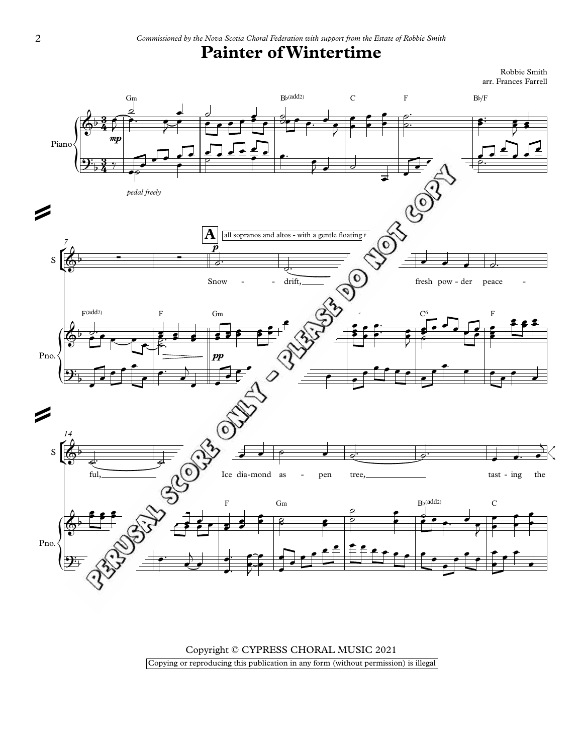## **Painter of Wintertime**

Robbie Smith arr. Frances Farrell



Copyright © CYPRESS CHORAL MUSIC 2021 Copying or reproducing this publication in any form (without permission) is illegal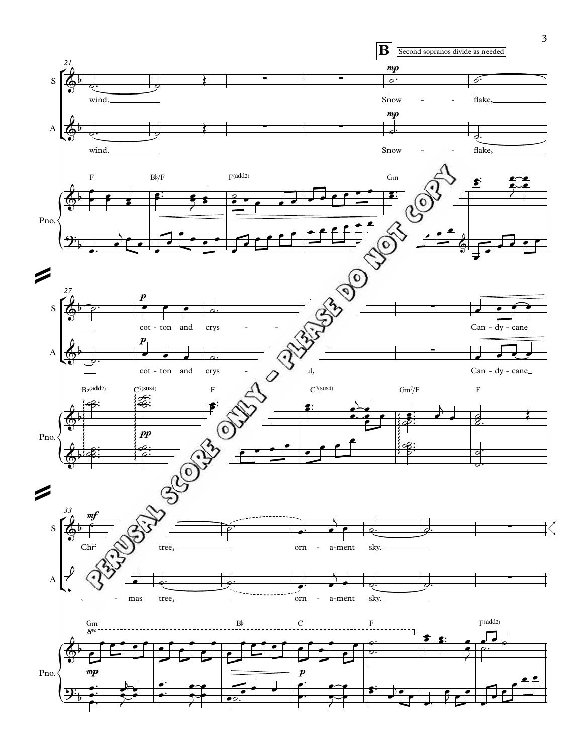

3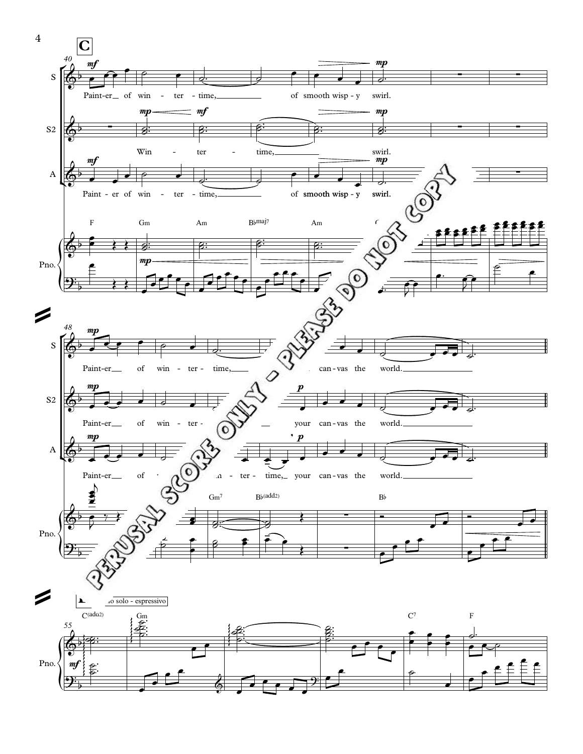

4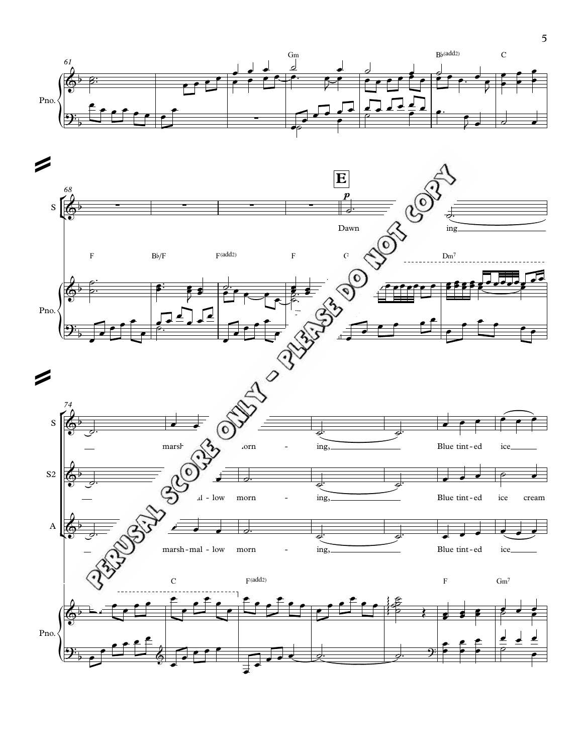



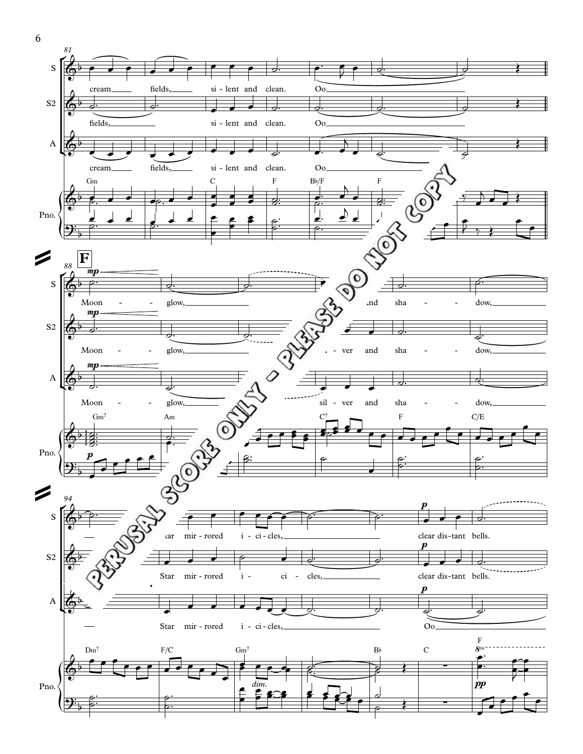

6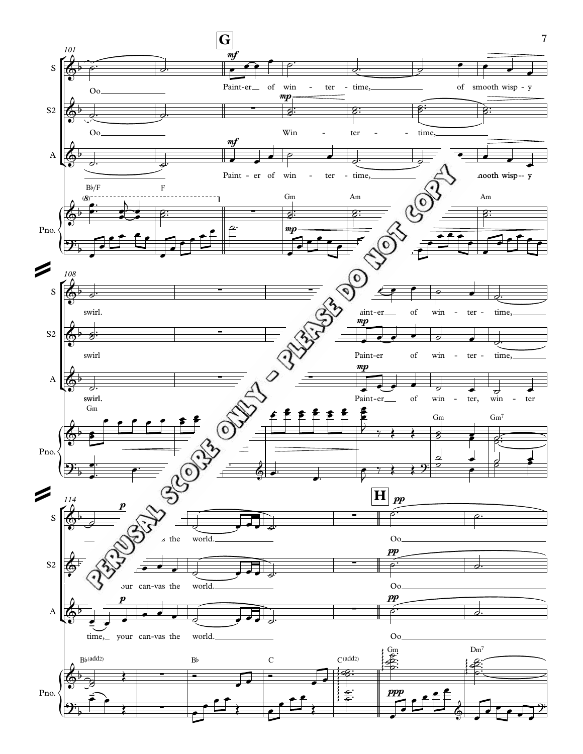